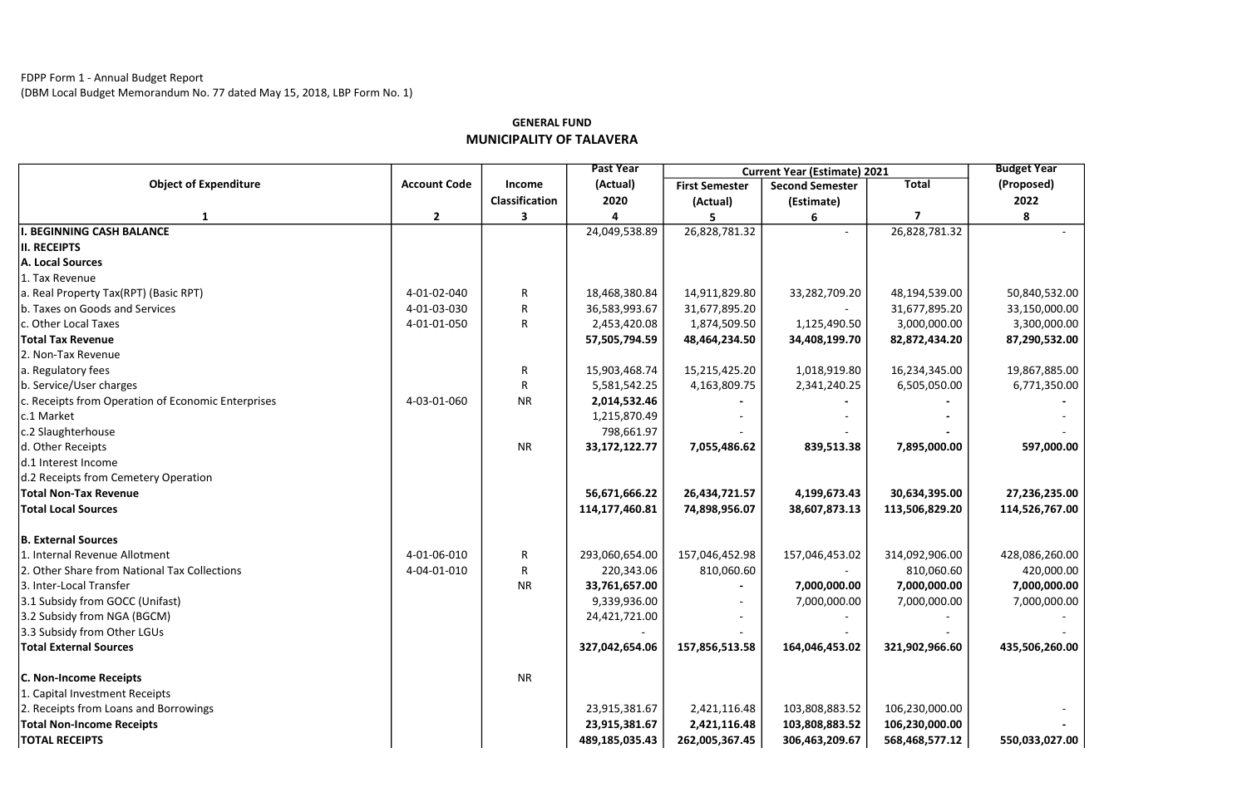## FDPP Form 1 - Annual Budget Report

(DBM Local Budget Memorandum No. 77 dated May 15, 2018, LBP Form No. 1)

|                                                    |                     | Income<br><b>Classification</b> | <b>Past Year</b><br>(Actual)<br>2020 | <b>Current Year (Estimate) 2021</b> |                                      |                | <b>Budget Year</b> |
|----------------------------------------------------|---------------------|---------------------------------|--------------------------------------|-------------------------------------|--------------------------------------|----------------|--------------------|
| <b>Object of Expenditure</b>                       | <b>Account Code</b> |                                 |                                      | <b>First Semester</b>               | <b>Second Semester</b><br>(Estimate) | <b>Total</b>   | (Proposed)<br>2022 |
|                                                    |                     |                                 |                                      | (Actual)                            |                                      |                |                    |
|                                                    | $\overline{2}$      | 3                               |                                      |                                     |                                      | 7              | 8                  |
| I. BEGINNING CASH BALANCE                          |                     |                                 | 24,049,538.89                        | 26,828,781.32                       |                                      | 26,828,781.32  |                    |
| II. RECEIPTS                                       |                     |                                 |                                      |                                     |                                      |                |                    |
| A. Local Sources                                   |                     |                                 |                                      |                                     |                                      |                |                    |
| 1. Tax Revenue                                     |                     |                                 |                                      |                                     |                                      |                |                    |
| a. Real Property Tax(RPT) (Basic RPT)              | 4-01-02-040         | R                               | 18,468,380.84                        | 14,911,829.80                       | 33,282,709.20                        | 48,194,539.00  | 50,840,532.00      |
| b. Taxes on Goods and Services                     | 4-01-03-030         | R                               | 36,583,993.67                        | 31,677,895.20                       |                                      | 31,677,895.20  | 33,150,000.00      |
| c. Other Local Taxes                               | 4-01-01-050         | R                               | 2,453,420.08                         | 1,874,509.50                        | 1,125,490.50                         | 3,000,000.00   | 3,300,000.00       |
| <b>Total Tax Revenue</b>                           |                     |                                 | 57,505,794.59                        | 48,464,234.50                       | 34,408,199.70                        | 82,872,434.20  | 87,290,532.00      |
| 2. Non-Tax Revenue                                 |                     |                                 |                                      |                                     |                                      |                |                    |
| a. Regulatory fees                                 |                     | R                               | 15,903,468.74                        | 15,215,425.20                       | 1,018,919.80                         | 16,234,345.00  | 19,867,885.00      |
| b. Service/User charges                            |                     |                                 | 5,581,542.25                         | 4,163,809.75                        | 2,341,240.25                         | 6,505,050.00   | 6,771,350.00       |
| c. Receipts from Operation of Economic Enterprises | 4-03-01-060         | <b>NR</b>                       | 2,014,532.46                         |                                     |                                      |                |                    |
| c.1 Market                                         |                     |                                 | 1,215,870.49                         |                                     |                                      |                |                    |
| c.2 Slaughterhouse                                 |                     |                                 | 798,661.97                           |                                     |                                      |                |                    |
| d. Other Receipts                                  |                     | NR                              | 33, 172, 122. 77                     | 7,055,486.62                        | 839,513.38                           | 7,895,000.00   | 597,000.00         |
| d.1 Interest Income                                |                     |                                 |                                      |                                     |                                      |                |                    |
| d.2 Receipts from Cemetery Operation               |                     |                                 |                                      |                                     |                                      |                |                    |
| <b>Total Non-Tax Revenue</b>                       |                     |                                 | 56,671,666.22                        | 26,434,721.57                       | 4,199,673.43                         | 30,634,395.00  | 27,236,235.00      |
| <b>Total Local Sources</b>                         |                     |                                 | 114,177,460.81                       | 74,898,956.07                       | 38,607,873.13                        | 113,506,829.20 | 114,526,767.00     |
| <b>B. External Sources</b>                         |                     |                                 |                                      |                                     |                                      |                |                    |
| 1. Internal Revenue Allotment                      | 4-01-06-010         | ${\sf R}$                       | 293,060,654.00                       | 157,046,452.98                      | 157,046,453.02                       | 314,092,906.00 | 428,086,260.00     |
| 2. Other Share from National Tax Collections       | 4-04-01-010         | R                               | 220,343.06                           | 810,060.60                          |                                      | 810,060.60     | 420,000.00         |
| 3. Inter-Local Transfer                            |                     | <b>NR</b>                       | 33,761,657.00                        |                                     | 7,000,000.00                         | 7,000,000.00   | 7,000,000.00       |
| 3.1 Subsidy from GOCC (Unifast)                    |                     |                                 | 9,339,936.00                         |                                     | 7,000,000.00                         | 7,000,000.00   | 7,000,000.00       |
| 3.2 Subsidy from NGA (BGCM)                        |                     |                                 | 24,421,721.00                        |                                     |                                      |                |                    |
| 3.3 Subsidy from Other LGUs                        |                     |                                 |                                      |                                     |                                      |                |                    |
| <b>Total External Sources</b>                      |                     |                                 | 327,042,654.06                       | 157,856,513.58                      | 164,046,453.02                       | 321,902,966.60 | 435,506,260.00     |
| <b>C. Non-Income Receipts</b>                      |                     | <b>NR</b>                       |                                      |                                     |                                      |                |                    |
| 1. Capital Investment Receipts                     |                     |                                 |                                      |                                     |                                      |                |                    |
| 2. Receipts from Loans and Borrowings              |                     |                                 | 23,915,381.67                        | 2,421,116.48                        | 103,808,883.52                       | 106,230,000.00 |                    |
| <b>Total Non-Income Receipts</b>                   |                     |                                 | 23,915,381.67                        | 2,421,116.48                        | 103,808,883.52                       | 106,230,000.00 |                    |
| <b>TOTAL RECEIPTS</b>                              |                     |                                 | 489,185,035.43                       | 262,005,367.45                      | 306,463,209.67                       | 568,468,577.12 | 550,033,027.00     |

## GENERAL FUND MUNICIPALITY OF TALAVERA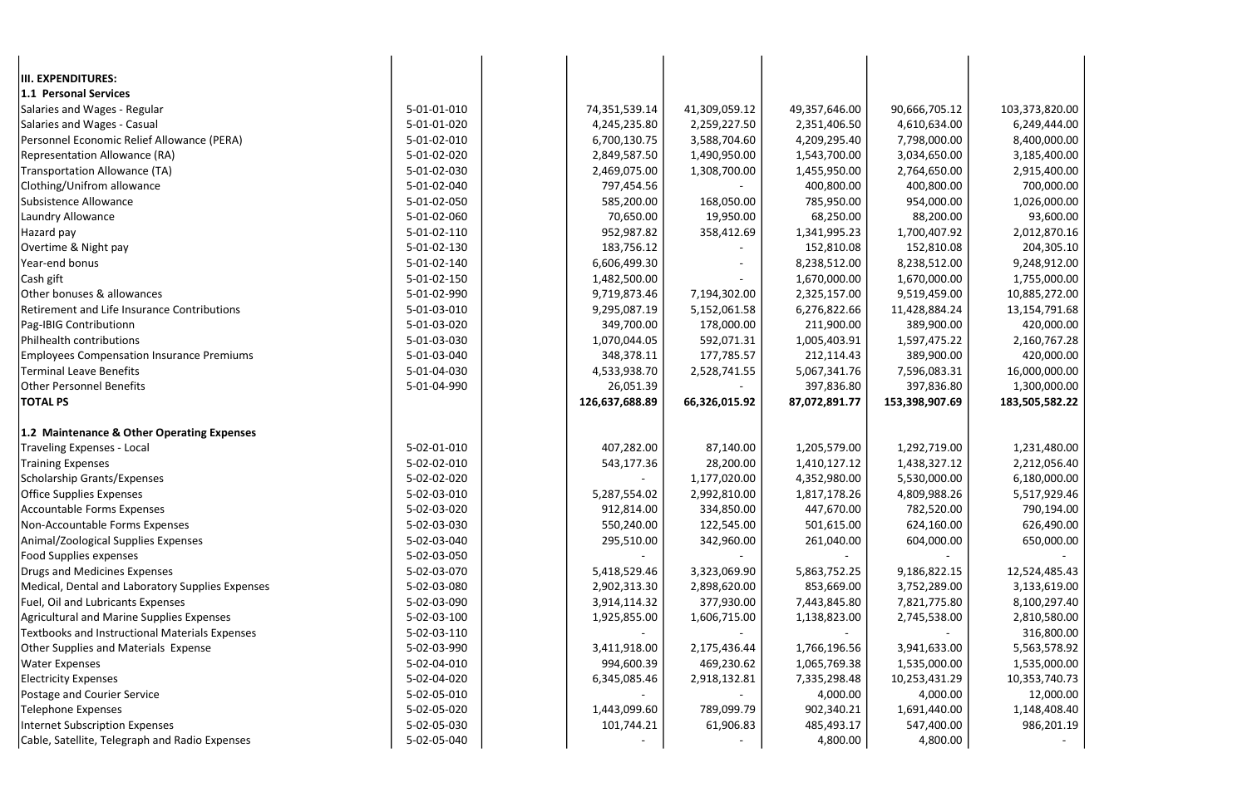| III. EXPENDITURES:<br>1.1 Personal Services<br>5-01-01-010<br>74,351,539.14<br>41,309,059.12<br>90,666,705.12<br>103,373,820.00<br>Salaries and Wages - Regular<br>49,357,646.00<br>Salaries and Wages - Casual<br>5-01-01-020<br>4,245,235.80<br>2,259,227.50<br>2,351,406.50<br>4,610,634.00<br>6,249,444.00<br>Personnel Economic Relief Allowance (PERA)<br>5-01-02-010<br>6,700,130.75<br>3,588,704.60<br>4,209,295.40<br>7,798,000.00<br>8,400,000.00<br>Representation Allowance (RA)<br>5-01-02-020<br>2,849,587.50<br>1,490,950.00<br>1,543,700.00<br>3,034,650.00<br>3,185,400.00<br><b>Transportation Allowance (TA)</b><br>5-01-02-030<br>2,469,075.00<br>1,308,700.00<br>1,455,950.00<br>2,764,650.00<br>2,915,400.00<br>Clothing/Unifrom allowance<br>5-01-02-040<br>400,800.00<br>400,800.00<br>700,000.00<br>797,454.56<br>Subsistence Allowance<br>5-01-02-050<br>168,050.00<br>954,000.00<br>585,200.00<br>785,950.00<br>1,026,000.00<br>Laundry Allowance<br>5-01-02-060<br>70,650.00<br>19,950.00<br>68,250.00<br>88,200.00<br>93,600.00<br>Hazard pay<br>5-01-02-110<br>952,987.82<br>358,412.69<br>1,341,995.23<br>1,700,407.92<br>2,012,870.16<br>Overtime & Night pay<br>5-01-02-130<br>183,756.12<br>152,810.08<br>152,810.08<br>204,305.10<br>Year-end bonus<br>5-01-02-140<br>6,606,499.30<br>8,238,512.00<br>8,238,512.00<br>9,248,912.00<br>Cash gift<br>5-01-02-150<br>1,482,500.00<br>1,670,000.00<br>1,670,000.00<br>1,755,000.00<br>Other bonuses & allowances<br>5-01-02-990<br>9,519,459.00<br>9,719,873.46<br>7,194,302.00<br>2,325,157.00<br>10,885,272.00<br>Retirement and Life Insurance Contributions<br>5-01-03-010<br>9,295,087.19<br>5,152,061.58<br>6,276,822.66<br>11,428,884.24<br>13,154,791.68<br>5-01-03-020<br>349,700.00<br>178,000.00<br>211,900.00<br>389,900.00<br>420,000.00<br>Pag-IBIG Contributionn<br>5-01-03-030<br>Philhealth contributions<br>1,070,044.05<br>592,071.31<br>1,005,403.91<br>1,597,475.22<br>2,160,767.28<br>5-01-03-040<br>177,785.57<br><b>Employees Compensation Insurance Premiums</b><br>348,378.11<br>212,114.43<br>389,900.00<br>420,000.00<br><b>Terminal Leave Benefits</b><br>5-01-04-030<br>2,528,741.55<br>16,000,000.00<br>4,533,938.70<br>5,067,341.76<br>7,596,083.31<br><b>Other Personnel Benefits</b><br>5-01-04-990<br>26,051.39<br>397,836.80<br>397,836.80<br>1,300,000.00<br><b>TOTAL PS</b><br>126,637,688.89<br>66,326,015.92<br>87,072,891.77<br>153,398,907.69<br>183,505,582.22<br>1.2 Maintenance & Other Operating Expenses<br>5-02-01-010<br>87,140.00<br>1,292,719.00<br>Traveling Expenses - Local<br>407,282.00<br>1,205,579.00<br>1,231,480.00<br>5-02-02-010<br>Training Expenses<br>543,177.36<br>28,200.00<br>1,410,127.12<br>1,438,327.12<br>2,212,056.40<br>Scholarship Grants/Expenses<br>5-02-02-020<br>1,177,020.00<br>4,352,980.00<br>5,530,000.00<br>6,180,000.00<br>5-02-03-010<br>Office Supplies Expenses<br>2,992,810.00<br>1,817,178.26<br>4,809,988.26<br>5,517,929.46<br>5,287,554.02<br>Accountable Forms Expenses<br>5-02-03-020<br>912,814.00<br>334,850.00<br>447,670.00<br>782,520.00<br>790,194.00<br>Non-Accountable Forms Expenses<br>5-02-03-030<br>122,545.00<br>624,160.00<br>550,240.00<br>501,615.00<br>626,490.00<br>5-02-03-040<br>295,510.00<br>261,040.00<br>Animal/Zoological Supplies Expenses<br>342,960.00<br>604,000.00<br>650,000.00<br>Food Supplies expenses<br>5-02-03-050<br>Drugs and Medicines Expenses<br>5-02-03-070<br>9,186,822.15<br>5,418,529.46<br>3,323,069.90<br>5,863,752.25<br>12,524,485.43<br>Medical, Dental and Laboratory Supplies Expenses<br>5-02-03-080<br>2,902,313.30<br>2,898,620.00<br>853,669.00<br>3,752,289.00<br>3,133,619.00<br>Fuel, Oil and Lubricants Expenses<br>5-02-03-090<br>3,914,114.32<br>377,930.00<br>7,443,845.80<br>7,821,775.80<br>8,100,297.40<br>Agricultural and Marine Supplies Expenses<br>5-02-03-100<br>1,606,715.00<br>1,138,823.00<br>2,745,538.00<br>1,925,855.00<br>2,810,580.00<br>Textbooks and Instructional Materials Expenses<br>5-02-03-110<br>316,800.00<br>Other Supplies and Materials Expense<br>5-02-03-990<br>3,941,633.00<br>3,411,918.00<br>2,175,436.44<br>1,766,196.56<br>5,563,578.92<br>5-02-04-010<br>994,600.39<br>469,230.62<br>1,065,769.38<br>1,535,000.00<br><b>Water Expenses</b><br>1,535,000.00<br>5-02-04-020<br><b>Electricity Expenses</b><br>2,918,132.81<br>7,335,298.48<br>10,253,431.29<br>10,353,740.73<br>6,345,085.46<br>5-02-05-010<br>Postage and Courier Service<br>4,000.00<br>4,000.00<br>12,000.00<br><b>Telephone Expenses</b><br>5-02-05-020<br>1,443,099.60<br>789,099.79<br>902,340.21<br>1,691,440.00<br>1,148,408.40 |                                |             |            |           |            |            |            |
|-------------------------------------------------------------------------------------------------------------------------------------------------------------------------------------------------------------------------------------------------------------------------------------------------------------------------------------------------------------------------------------------------------------------------------------------------------------------------------------------------------------------------------------------------------------------------------------------------------------------------------------------------------------------------------------------------------------------------------------------------------------------------------------------------------------------------------------------------------------------------------------------------------------------------------------------------------------------------------------------------------------------------------------------------------------------------------------------------------------------------------------------------------------------------------------------------------------------------------------------------------------------------------------------------------------------------------------------------------------------------------------------------------------------------------------------------------------------------------------------------------------------------------------------------------------------------------------------------------------------------------------------------------------------------------------------------------------------------------------------------------------------------------------------------------------------------------------------------------------------------------------------------------------------------------------------------------------------------------------------------------------------------------------------------------------------------------------------------------------------------------------------------------------------------------------------------------------------------------------------------------------------------------------------------------------------------------------------------------------------------------------------------------------------------------------------------------------------------------------------------------------------------------------------------------------------------------------------------------------------------------------------------------------------------------------------------------------------------------------------------------------------------------------------------------------------------------------------------------------------------------------------------------------------------------------------------------------------------------------------------------------------------------------------------------------------------------------------------------------------------------------------------------------------------------------------------------------------------------------------------------------------------------------------------------------------------------------------------------------------------------------------------------------------------------------------------------------------------------------------------------------------------------------------------------------------------------------------------------------------------------------------------------------------------------------------------------------------------------------------------------------------------------------------------------------------------------------------------------------------------------------------------------------------------------------------------------------------------------------------------------------------------------------------------------------------------------------------------------------------------------------------------------------------------------------------------------------------------------------------------------------------------------------------------------------------------------------------------------------------------------------------------------------------------------------------------------------------------------------------------------------------------------------------------------------------------------------------------------------------------------------------------------------------------------------------|--------------------------------|-------------|------------|-----------|------------|------------|------------|
|                                                                                                                                                                                                                                                                                                                                                                                                                                                                                                                                                                                                                                                                                                                                                                                                                                                                                                                                                                                                                                                                                                                                                                                                                                                                                                                                                                                                                                                                                                                                                                                                                                                                                                                                                                                                                                                                                                                                                                                                                                                                                                                                                                                                                                                                                                                                                                                                                                                                                                                                                                                                                                                                                                                                                                                                                                                                                                                                                                                                                                                                                                                                                                                                                                                                                                                                                                                                                                                                                                                                                                                                                                                                                                                                                                                                                                                                                                                                                                                                                                                                                                                                                                                                                                                                                                                                                                                                                                                                                                                                                                                                                                                                                           |                                |             |            |           |            |            |            |
|                                                                                                                                                                                                                                                                                                                                                                                                                                                                                                                                                                                                                                                                                                                                                                                                                                                                                                                                                                                                                                                                                                                                                                                                                                                                                                                                                                                                                                                                                                                                                                                                                                                                                                                                                                                                                                                                                                                                                                                                                                                                                                                                                                                                                                                                                                                                                                                                                                                                                                                                                                                                                                                                                                                                                                                                                                                                                                                                                                                                                                                                                                                                                                                                                                                                                                                                                                                                                                                                                                                                                                                                                                                                                                                                                                                                                                                                                                                                                                                                                                                                                                                                                                                                                                                                                                                                                                                                                                                                                                                                                                                                                                                                                           |                                |             |            |           |            |            |            |
|                                                                                                                                                                                                                                                                                                                                                                                                                                                                                                                                                                                                                                                                                                                                                                                                                                                                                                                                                                                                                                                                                                                                                                                                                                                                                                                                                                                                                                                                                                                                                                                                                                                                                                                                                                                                                                                                                                                                                                                                                                                                                                                                                                                                                                                                                                                                                                                                                                                                                                                                                                                                                                                                                                                                                                                                                                                                                                                                                                                                                                                                                                                                                                                                                                                                                                                                                                                                                                                                                                                                                                                                                                                                                                                                                                                                                                                                                                                                                                                                                                                                                                                                                                                                                                                                                                                                                                                                                                                                                                                                                                                                                                                                                           |                                |             |            |           |            |            |            |
|                                                                                                                                                                                                                                                                                                                                                                                                                                                                                                                                                                                                                                                                                                                                                                                                                                                                                                                                                                                                                                                                                                                                                                                                                                                                                                                                                                                                                                                                                                                                                                                                                                                                                                                                                                                                                                                                                                                                                                                                                                                                                                                                                                                                                                                                                                                                                                                                                                                                                                                                                                                                                                                                                                                                                                                                                                                                                                                                                                                                                                                                                                                                                                                                                                                                                                                                                                                                                                                                                                                                                                                                                                                                                                                                                                                                                                                                                                                                                                                                                                                                                                                                                                                                                                                                                                                                                                                                                                                                                                                                                                                                                                                                                           |                                |             |            |           |            |            |            |
|                                                                                                                                                                                                                                                                                                                                                                                                                                                                                                                                                                                                                                                                                                                                                                                                                                                                                                                                                                                                                                                                                                                                                                                                                                                                                                                                                                                                                                                                                                                                                                                                                                                                                                                                                                                                                                                                                                                                                                                                                                                                                                                                                                                                                                                                                                                                                                                                                                                                                                                                                                                                                                                                                                                                                                                                                                                                                                                                                                                                                                                                                                                                                                                                                                                                                                                                                                                                                                                                                                                                                                                                                                                                                                                                                                                                                                                                                                                                                                                                                                                                                                                                                                                                                                                                                                                                                                                                                                                                                                                                                                                                                                                                                           |                                |             |            |           |            |            |            |
|                                                                                                                                                                                                                                                                                                                                                                                                                                                                                                                                                                                                                                                                                                                                                                                                                                                                                                                                                                                                                                                                                                                                                                                                                                                                                                                                                                                                                                                                                                                                                                                                                                                                                                                                                                                                                                                                                                                                                                                                                                                                                                                                                                                                                                                                                                                                                                                                                                                                                                                                                                                                                                                                                                                                                                                                                                                                                                                                                                                                                                                                                                                                                                                                                                                                                                                                                                                                                                                                                                                                                                                                                                                                                                                                                                                                                                                                                                                                                                                                                                                                                                                                                                                                                                                                                                                                                                                                                                                                                                                                                                                                                                                                                           |                                |             |            |           |            |            |            |
|                                                                                                                                                                                                                                                                                                                                                                                                                                                                                                                                                                                                                                                                                                                                                                                                                                                                                                                                                                                                                                                                                                                                                                                                                                                                                                                                                                                                                                                                                                                                                                                                                                                                                                                                                                                                                                                                                                                                                                                                                                                                                                                                                                                                                                                                                                                                                                                                                                                                                                                                                                                                                                                                                                                                                                                                                                                                                                                                                                                                                                                                                                                                                                                                                                                                                                                                                                                                                                                                                                                                                                                                                                                                                                                                                                                                                                                                                                                                                                                                                                                                                                                                                                                                                                                                                                                                                                                                                                                                                                                                                                                                                                                                                           |                                |             |            |           |            |            |            |
|                                                                                                                                                                                                                                                                                                                                                                                                                                                                                                                                                                                                                                                                                                                                                                                                                                                                                                                                                                                                                                                                                                                                                                                                                                                                                                                                                                                                                                                                                                                                                                                                                                                                                                                                                                                                                                                                                                                                                                                                                                                                                                                                                                                                                                                                                                                                                                                                                                                                                                                                                                                                                                                                                                                                                                                                                                                                                                                                                                                                                                                                                                                                                                                                                                                                                                                                                                                                                                                                                                                                                                                                                                                                                                                                                                                                                                                                                                                                                                                                                                                                                                                                                                                                                                                                                                                                                                                                                                                                                                                                                                                                                                                                                           |                                |             |            |           |            |            |            |
|                                                                                                                                                                                                                                                                                                                                                                                                                                                                                                                                                                                                                                                                                                                                                                                                                                                                                                                                                                                                                                                                                                                                                                                                                                                                                                                                                                                                                                                                                                                                                                                                                                                                                                                                                                                                                                                                                                                                                                                                                                                                                                                                                                                                                                                                                                                                                                                                                                                                                                                                                                                                                                                                                                                                                                                                                                                                                                                                                                                                                                                                                                                                                                                                                                                                                                                                                                                                                                                                                                                                                                                                                                                                                                                                                                                                                                                                                                                                                                                                                                                                                                                                                                                                                                                                                                                                                                                                                                                                                                                                                                                                                                                                                           |                                |             |            |           |            |            |            |
|                                                                                                                                                                                                                                                                                                                                                                                                                                                                                                                                                                                                                                                                                                                                                                                                                                                                                                                                                                                                                                                                                                                                                                                                                                                                                                                                                                                                                                                                                                                                                                                                                                                                                                                                                                                                                                                                                                                                                                                                                                                                                                                                                                                                                                                                                                                                                                                                                                                                                                                                                                                                                                                                                                                                                                                                                                                                                                                                                                                                                                                                                                                                                                                                                                                                                                                                                                                                                                                                                                                                                                                                                                                                                                                                                                                                                                                                                                                                                                                                                                                                                                                                                                                                                                                                                                                                                                                                                                                                                                                                                                                                                                                                                           |                                |             |            |           |            |            |            |
|                                                                                                                                                                                                                                                                                                                                                                                                                                                                                                                                                                                                                                                                                                                                                                                                                                                                                                                                                                                                                                                                                                                                                                                                                                                                                                                                                                                                                                                                                                                                                                                                                                                                                                                                                                                                                                                                                                                                                                                                                                                                                                                                                                                                                                                                                                                                                                                                                                                                                                                                                                                                                                                                                                                                                                                                                                                                                                                                                                                                                                                                                                                                                                                                                                                                                                                                                                                                                                                                                                                                                                                                                                                                                                                                                                                                                                                                                                                                                                                                                                                                                                                                                                                                                                                                                                                                                                                                                                                                                                                                                                                                                                                                                           |                                |             |            |           |            |            |            |
|                                                                                                                                                                                                                                                                                                                                                                                                                                                                                                                                                                                                                                                                                                                                                                                                                                                                                                                                                                                                                                                                                                                                                                                                                                                                                                                                                                                                                                                                                                                                                                                                                                                                                                                                                                                                                                                                                                                                                                                                                                                                                                                                                                                                                                                                                                                                                                                                                                                                                                                                                                                                                                                                                                                                                                                                                                                                                                                                                                                                                                                                                                                                                                                                                                                                                                                                                                                                                                                                                                                                                                                                                                                                                                                                                                                                                                                                                                                                                                                                                                                                                                                                                                                                                                                                                                                                                                                                                                                                                                                                                                                                                                                                                           |                                |             |            |           |            |            |            |
|                                                                                                                                                                                                                                                                                                                                                                                                                                                                                                                                                                                                                                                                                                                                                                                                                                                                                                                                                                                                                                                                                                                                                                                                                                                                                                                                                                                                                                                                                                                                                                                                                                                                                                                                                                                                                                                                                                                                                                                                                                                                                                                                                                                                                                                                                                                                                                                                                                                                                                                                                                                                                                                                                                                                                                                                                                                                                                                                                                                                                                                                                                                                                                                                                                                                                                                                                                                                                                                                                                                                                                                                                                                                                                                                                                                                                                                                                                                                                                                                                                                                                                                                                                                                                                                                                                                                                                                                                                                                                                                                                                                                                                                                                           |                                |             |            |           |            |            |            |
|                                                                                                                                                                                                                                                                                                                                                                                                                                                                                                                                                                                                                                                                                                                                                                                                                                                                                                                                                                                                                                                                                                                                                                                                                                                                                                                                                                                                                                                                                                                                                                                                                                                                                                                                                                                                                                                                                                                                                                                                                                                                                                                                                                                                                                                                                                                                                                                                                                                                                                                                                                                                                                                                                                                                                                                                                                                                                                                                                                                                                                                                                                                                                                                                                                                                                                                                                                                                                                                                                                                                                                                                                                                                                                                                                                                                                                                                                                                                                                                                                                                                                                                                                                                                                                                                                                                                                                                                                                                                                                                                                                                                                                                                                           |                                |             |            |           |            |            |            |
|                                                                                                                                                                                                                                                                                                                                                                                                                                                                                                                                                                                                                                                                                                                                                                                                                                                                                                                                                                                                                                                                                                                                                                                                                                                                                                                                                                                                                                                                                                                                                                                                                                                                                                                                                                                                                                                                                                                                                                                                                                                                                                                                                                                                                                                                                                                                                                                                                                                                                                                                                                                                                                                                                                                                                                                                                                                                                                                                                                                                                                                                                                                                                                                                                                                                                                                                                                                                                                                                                                                                                                                                                                                                                                                                                                                                                                                                                                                                                                                                                                                                                                                                                                                                                                                                                                                                                                                                                                                                                                                                                                                                                                                                                           |                                |             |            |           |            |            |            |
|                                                                                                                                                                                                                                                                                                                                                                                                                                                                                                                                                                                                                                                                                                                                                                                                                                                                                                                                                                                                                                                                                                                                                                                                                                                                                                                                                                                                                                                                                                                                                                                                                                                                                                                                                                                                                                                                                                                                                                                                                                                                                                                                                                                                                                                                                                                                                                                                                                                                                                                                                                                                                                                                                                                                                                                                                                                                                                                                                                                                                                                                                                                                                                                                                                                                                                                                                                                                                                                                                                                                                                                                                                                                                                                                                                                                                                                                                                                                                                                                                                                                                                                                                                                                                                                                                                                                                                                                                                                                                                                                                                                                                                                                                           |                                |             |            |           |            |            |            |
|                                                                                                                                                                                                                                                                                                                                                                                                                                                                                                                                                                                                                                                                                                                                                                                                                                                                                                                                                                                                                                                                                                                                                                                                                                                                                                                                                                                                                                                                                                                                                                                                                                                                                                                                                                                                                                                                                                                                                                                                                                                                                                                                                                                                                                                                                                                                                                                                                                                                                                                                                                                                                                                                                                                                                                                                                                                                                                                                                                                                                                                                                                                                                                                                                                                                                                                                                                                                                                                                                                                                                                                                                                                                                                                                                                                                                                                                                                                                                                                                                                                                                                                                                                                                                                                                                                                                                                                                                                                                                                                                                                                                                                                                                           |                                |             |            |           |            |            |            |
|                                                                                                                                                                                                                                                                                                                                                                                                                                                                                                                                                                                                                                                                                                                                                                                                                                                                                                                                                                                                                                                                                                                                                                                                                                                                                                                                                                                                                                                                                                                                                                                                                                                                                                                                                                                                                                                                                                                                                                                                                                                                                                                                                                                                                                                                                                                                                                                                                                                                                                                                                                                                                                                                                                                                                                                                                                                                                                                                                                                                                                                                                                                                                                                                                                                                                                                                                                                                                                                                                                                                                                                                                                                                                                                                                                                                                                                                                                                                                                                                                                                                                                                                                                                                                                                                                                                                                                                                                                                                                                                                                                                                                                                                                           |                                |             |            |           |            |            |            |
|                                                                                                                                                                                                                                                                                                                                                                                                                                                                                                                                                                                                                                                                                                                                                                                                                                                                                                                                                                                                                                                                                                                                                                                                                                                                                                                                                                                                                                                                                                                                                                                                                                                                                                                                                                                                                                                                                                                                                                                                                                                                                                                                                                                                                                                                                                                                                                                                                                                                                                                                                                                                                                                                                                                                                                                                                                                                                                                                                                                                                                                                                                                                                                                                                                                                                                                                                                                                                                                                                                                                                                                                                                                                                                                                                                                                                                                                                                                                                                                                                                                                                                                                                                                                                                                                                                                                                                                                                                                                                                                                                                                                                                                                                           |                                |             |            |           |            |            |            |
|                                                                                                                                                                                                                                                                                                                                                                                                                                                                                                                                                                                                                                                                                                                                                                                                                                                                                                                                                                                                                                                                                                                                                                                                                                                                                                                                                                                                                                                                                                                                                                                                                                                                                                                                                                                                                                                                                                                                                                                                                                                                                                                                                                                                                                                                                                                                                                                                                                                                                                                                                                                                                                                                                                                                                                                                                                                                                                                                                                                                                                                                                                                                                                                                                                                                                                                                                                                                                                                                                                                                                                                                                                                                                                                                                                                                                                                                                                                                                                                                                                                                                                                                                                                                                                                                                                                                                                                                                                                                                                                                                                                                                                                                                           |                                |             |            |           |            |            |            |
|                                                                                                                                                                                                                                                                                                                                                                                                                                                                                                                                                                                                                                                                                                                                                                                                                                                                                                                                                                                                                                                                                                                                                                                                                                                                                                                                                                                                                                                                                                                                                                                                                                                                                                                                                                                                                                                                                                                                                                                                                                                                                                                                                                                                                                                                                                                                                                                                                                                                                                                                                                                                                                                                                                                                                                                                                                                                                                                                                                                                                                                                                                                                                                                                                                                                                                                                                                                                                                                                                                                                                                                                                                                                                                                                                                                                                                                                                                                                                                                                                                                                                                                                                                                                                                                                                                                                                                                                                                                                                                                                                                                                                                                                                           |                                |             |            |           |            |            |            |
|                                                                                                                                                                                                                                                                                                                                                                                                                                                                                                                                                                                                                                                                                                                                                                                                                                                                                                                                                                                                                                                                                                                                                                                                                                                                                                                                                                                                                                                                                                                                                                                                                                                                                                                                                                                                                                                                                                                                                                                                                                                                                                                                                                                                                                                                                                                                                                                                                                                                                                                                                                                                                                                                                                                                                                                                                                                                                                                                                                                                                                                                                                                                                                                                                                                                                                                                                                                                                                                                                                                                                                                                                                                                                                                                                                                                                                                                                                                                                                                                                                                                                                                                                                                                                                                                                                                                                                                                                                                                                                                                                                                                                                                                                           |                                |             |            |           |            |            |            |
|                                                                                                                                                                                                                                                                                                                                                                                                                                                                                                                                                                                                                                                                                                                                                                                                                                                                                                                                                                                                                                                                                                                                                                                                                                                                                                                                                                                                                                                                                                                                                                                                                                                                                                                                                                                                                                                                                                                                                                                                                                                                                                                                                                                                                                                                                                                                                                                                                                                                                                                                                                                                                                                                                                                                                                                                                                                                                                                                                                                                                                                                                                                                                                                                                                                                                                                                                                                                                                                                                                                                                                                                                                                                                                                                                                                                                                                                                                                                                                                                                                                                                                                                                                                                                                                                                                                                                                                                                                                                                                                                                                                                                                                                                           |                                |             |            |           |            |            |            |
|                                                                                                                                                                                                                                                                                                                                                                                                                                                                                                                                                                                                                                                                                                                                                                                                                                                                                                                                                                                                                                                                                                                                                                                                                                                                                                                                                                                                                                                                                                                                                                                                                                                                                                                                                                                                                                                                                                                                                                                                                                                                                                                                                                                                                                                                                                                                                                                                                                                                                                                                                                                                                                                                                                                                                                                                                                                                                                                                                                                                                                                                                                                                                                                                                                                                                                                                                                                                                                                                                                                                                                                                                                                                                                                                                                                                                                                                                                                                                                                                                                                                                                                                                                                                                                                                                                                                                                                                                                                                                                                                                                                                                                                                                           |                                |             |            |           |            |            |            |
|                                                                                                                                                                                                                                                                                                                                                                                                                                                                                                                                                                                                                                                                                                                                                                                                                                                                                                                                                                                                                                                                                                                                                                                                                                                                                                                                                                                                                                                                                                                                                                                                                                                                                                                                                                                                                                                                                                                                                                                                                                                                                                                                                                                                                                                                                                                                                                                                                                                                                                                                                                                                                                                                                                                                                                                                                                                                                                                                                                                                                                                                                                                                                                                                                                                                                                                                                                                                                                                                                                                                                                                                                                                                                                                                                                                                                                                                                                                                                                                                                                                                                                                                                                                                                                                                                                                                                                                                                                                                                                                                                                                                                                                                                           |                                |             |            |           |            |            |            |
|                                                                                                                                                                                                                                                                                                                                                                                                                                                                                                                                                                                                                                                                                                                                                                                                                                                                                                                                                                                                                                                                                                                                                                                                                                                                                                                                                                                                                                                                                                                                                                                                                                                                                                                                                                                                                                                                                                                                                                                                                                                                                                                                                                                                                                                                                                                                                                                                                                                                                                                                                                                                                                                                                                                                                                                                                                                                                                                                                                                                                                                                                                                                                                                                                                                                                                                                                                                                                                                                                                                                                                                                                                                                                                                                                                                                                                                                                                                                                                                                                                                                                                                                                                                                                                                                                                                                                                                                                                                                                                                                                                                                                                                                                           |                                |             |            |           |            |            |            |
|                                                                                                                                                                                                                                                                                                                                                                                                                                                                                                                                                                                                                                                                                                                                                                                                                                                                                                                                                                                                                                                                                                                                                                                                                                                                                                                                                                                                                                                                                                                                                                                                                                                                                                                                                                                                                                                                                                                                                                                                                                                                                                                                                                                                                                                                                                                                                                                                                                                                                                                                                                                                                                                                                                                                                                                                                                                                                                                                                                                                                                                                                                                                                                                                                                                                                                                                                                                                                                                                                                                                                                                                                                                                                                                                                                                                                                                                                                                                                                                                                                                                                                                                                                                                                                                                                                                                                                                                                                                                                                                                                                                                                                                                                           |                                |             |            |           |            |            |            |
|                                                                                                                                                                                                                                                                                                                                                                                                                                                                                                                                                                                                                                                                                                                                                                                                                                                                                                                                                                                                                                                                                                                                                                                                                                                                                                                                                                                                                                                                                                                                                                                                                                                                                                                                                                                                                                                                                                                                                                                                                                                                                                                                                                                                                                                                                                                                                                                                                                                                                                                                                                                                                                                                                                                                                                                                                                                                                                                                                                                                                                                                                                                                                                                                                                                                                                                                                                                                                                                                                                                                                                                                                                                                                                                                                                                                                                                                                                                                                                                                                                                                                                                                                                                                                                                                                                                                                                                                                                                                                                                                                                                                                                                                                           |                                |             |            |           |            |            |            |
|                                                                                                                                                                                                                                                                                                                                                                                                                                                                                                                                                                                                                                                                                                                                                                                                                                                                                                                                                                                                                                                                                                                                                                                                                                                                                                                                                                                                                                                                                                                                                                                                                                                                                                                                                                                                                                                                                                                                                                                                                                                                                                                                                                                                                                                                                                                                                                                                                                                                                                                                                                                                                                                                                                                                                                                                                                                                                                                                                                                                                                                                                                                                                                                                                                                                                                                                                                                                                                                                                                                                                                                                                                                                                                                                                                                                                                                                                                                                                                                                                                                                                                                                                                                                                                                                                                                                                                                                                                                                                                                                                                                                                                                                                           |                                |             |            |           |            |            |            |
|                                                                                                                                                                                                                                                                                                                                                                                                                                                                                                                                                                                                                                                                                                                                                                                                                                                                                                                                                                                                                                                                                                                                                                                                                                                                                                                                                                                                                                                                                                                                                                                                                                                                                                                                                                                                                                                                                                                                                                                                                                                                                                                                                                                                                                                                                                                                                                                                                                                                                                                                                                                                                                                                                                                                                                                                                                                                                                                                                                                                                                                                                                                                                                                                                                                                                                                                                                                                                                                                                                                                                                                                                                                                                                                                                                                                                                                                                                                                                                                                                                                                                                                                                                                                                                                                                                                                                                                                                                                                                                                                                                                                                                                                                           |                                |             |            |           |            |            |            |
|                                                                                                                                                                                                                                                                                                                                                                                                                                                                                                                                                                                                                                                                                                                                                                                                                                                                                                                                                                                                                                                                                                                                                                                                                                                                                                                                                                                                                                                                                                                                                                                                                                                                                                                                                                                                                                                                                                                                                                                                                                                                                                                                                                                                                                                                                                                                                                                                                                                                                                                                                                                                                                                                                                                                                                                                                                                                                                                                                                                                                                                                                                                                                                                                                                                                                                                                                                                                                                                                                                                                                                                                                                                                                                                                                                                                                                                                                                                                                                                                                                                                                                                                                                                                                                                                                                                                                                                                                                                                                                                                                                                                                                                                                           |                                |             |            |           |            |            |            |
|                                                                                                                                                                                                                                                                                                                                                                                                                                                                                                                                                                                                                                                                                                                                                                                                                                                                                                                                                                                                                                                                                                                                                                                                                                                                                                                                                                                                                                                                                                                                                                                                                                                                                                                                                                                                                                                                                                                                                                                                                                                                                                                                                                                                                                                                                                                                                                                                                                                                                                                                                                                                                                                                                                                                                                                                                                                                                                                                                                                                                                                                                                                                                                                                                                                                                                                                                                                                                                                                                                                                                                                                                                                                                                                                                                                                                                                                                                                                                                                                                                                                                                                                                                                                                                                                                                                                                                                                                                                                                                                                                                                                                                                                                           |                                |             |            |           |            |            |            |
|                                                                                                                                                                                                                                                                                                                                                                                                                                                                                                                                                                                                                                                                                                                                                                                                                                                                                                                                                                                                                                                                                                                                                                                                                                                                                                                                                                                                                                                                                                                                                                                                                                                                                                                                                                                                                                                                                                                                                                                                                                                                                                                                                                                                                                                                                                                                                                                                                                                                                                                                                                                                                                                                                                                                                                                                                                                                                                                                                                                                                                                                                                                                                                                                                                                                                                                                                                                                                                                                                                                                                                                                                                                                                                                                                                                                                                                                                                                                                                                                                                                                                                                                                                                                                                                                                                                                                                                                                                                                                                                                                                                                                                                                                           |                                |             |            |           |            |            |            |
|                                                                                                                                                                                                                                                                                                                                                                                                                                                                                                                                                                                                                                                                                                                                                                                                                                                                                                                                                                                                                                                                                                                                                                                                                                                                                                                                                                                                                                                                                                                                                                                                                                                                                                                                                                                                                                                                                                                                                                                                                                                                                                                                                                                                                                                                                                                                                                                                                                                                                                                                                                                                                                                                                                                                                                                                                                                                                                                                                                                                                                                                                                                                                                                                                                                                                                                                                                                                                                                                                                                                                                                                                                                                                                                                                                                                                                                                                                                                                                                                                                                                                                                                                                                                                                                                                                                                                                                                                                                                                                                                                                                                                                                                                           |                                |             |            |           |            |            |            |
|                                                                                                                                                                                                                                                                                                                                                                                                                                                                                                                                                                                                                                                                                                                                                                                                                                                                                                                                                                                                                                                                                                                                                                                                                                                                                                                                                                                                                                                                                                                                                                                                                                                                                                                                                                                                                                                                                                                                                                                                                                                                                                                                                                                                                                                                                                                                                                                                                                                                                                                                                                                                                                                                                                                                                                                                                                                                                                                                                                                                                                                                                                                                                                                                                                                                                                                                                                                                                                                                                                                                                                                                                                                                                                                                                                                                                                                                                                                                                                                                                                                                                                                                                                                                                                                                                                                                                                                                                                                                                                                                                                                                                                                                                           |                                |             |            |           |            |            |            |
|                                                                                                                                                                                                                                                                                                                                                                                                                                                                                                                                                                                                                                                                                                                                                                                                                                                                                                                                                                                                                                                                                                                                                                                                                                                                                                                                                                                                                                                                                                                                                                                                                                                                                                                                                                                                                                                                                                                                                                                                                                                                                                                                                                                                                                                                                                                                                                                                                                                                                                                                                                                                                                                                                                                                                                                                                                                                                                                                                                                                                                                                                                                                                                                                                                                                                                                                                                                                                                                                                                                                                                                                                                                                                                                                                                                                                                                                                                                                                                                                                                                                                                                                                                                                                                                                                                                                                                                                                                                                                                                                                                                                                                                                                           |                                |             |            |           |            |            |            |
|                                                                                                                                                                                                                                                                                                                                                                                                                                                                                                                                                                                                                                                                                                                                                                                                                                                                                                                                                                                                                                                                                                                                                                                                                                                                                                                                                                                                                                                                                                                                                                                                                                                                                                                                                                                                                                                                                                                                                                                                                                                                                                                                                                                                                                                                                                                                                                                                                                                                                                                                                                                                                                                                                                                                                                                                                                                                                                                                                                                                                                                                                                                                                                                                                                                                                                                                                                                                                                                                                                                                                                                                                                                                                                                                                                                                                                                                                                                                                                                                                                                                                                                                                                                                                                                                                                                                                                                                                                                                                                                                                                                                                                                                                           |                                |             |            |           |            |            |            |
|                                                                                                                                                                                                                                                                                                                                                                                                                                                                                                                                                                                                                                                                                                                                                                                                                                                                                                                                                                                                                                                                                                                                                                                                                                                                                                                                                                                                                                                                                                                                                                                                                                                                                                                                                                                                                                                                                                                                                                                                                                                                                                                                                                                                                                                                                                                                                                                                                                                                                                                                                                                                                                                                                                                                                                                                                                                                                                                                                                                                                                                                                                                                                                                                                                                                                                                                                                                                                                                                                                                                                                                                                                                                                                                                                                                                                                                                                                                                                                                                                                                                                                                                                                                                                                                                                                                                                                                                                                                                                                                                                                                                                                                                                           |                                |             |            |           |            |            |            |
|                                                                                                                                                                                                                                                                                                                                                                                                                                                                                                                                                                                                                                                                                                                                                                                                                                                                                                                                                                                                                                                                                                                                                                                                                                                                                                                                                                                                                                                                                                                                                                                                                                                                                                                                                                                                                                                                                                                                                                                                                                                                                                                                                                                                                                                                                                                                                                                                                                                                                                                                                                                                                                                                                                                                                                                                                                                                                                                                                                                                                                                                                                                                                                                                                                                                                                                                                                                                                                                                                                                                                                                                                                                                                                                                                                                                                                                                                                                                                                                                                                                                                                                                                                                                                                                                                                                                                                                                                                                                                                                                                                                                                                                                                           |                                |             |            |           |            |            |            |
|                                                                                                                                                                                                                                                                                                                                                                                                                                                                                                                                                                                                                                                                                                                                                                                                                                                                                                                                                                                                                                                                                                                                                                                                                                                                                                                                                                                                                                                                                                                                                                                                                                                                                                                                                                                                                                                                                                                                                                                                                                                                                                                                                                                                                                                                                                                                                                                                                                                                                                                                                                                                                                                                                                                                                                                                                                                                                                                                                                                                                                                                                                                                                                                                                                                                                                                                                                                                                                                                                                                                                                                                                                                                                                                                                                                                                                                                                                                                                                                                                                                                                                                                                                                                                                                                                                                                                                                                                                                                                                                                                                                                                                                                                           |                                |             |            |           |            |            |            |
|                                                                                                                                                                                                                                                                                                                                                                                                                                                                                                                                                                                                                                                                                                                                                                                                                                                                                                                                                                                                                                                                                                                                                                                                                                                                                                                                                                                                                                                                                                                                                                                                                                                                                                                                                                                                                                                                                                                                                                                                                                                                                                                                                                                                                                                                                                                                                                                                                                                                                                                                                                                                                                                                                                                                                                                                                                                                                                                                                                                                                                                                                                                                                                                                                                                                                                                                                                                                                                                                                                                                                                                                                                                                                                                                                                                                                                                                                                                                                                                                                                                                                                                                                                                                                                                                                                                                                                                                                                                                                                                                                                                                                                                                                           |                                |             |            |           |            |            |            |
|                                                                                                                                                                                                                                                                                                                                                                                                                                                                                                                                                                                                                                                                                                                                                                                                                                                                                                                                                                                                                                                                                                                                                                                                                                                                                                                                                                                                                                                                                                                                                                                                                                                                                                                                                                                                                                                                                                                                                                                                                                                                                                                                                                                                                                                                                                                                                                                                                                                                                                                                                                                                                                                                                                                                                                                                                                                                                                                                                                                                                                                                                                                                                                                                                                                                                                                                                                                                                                                                                                                                                                                                                                                                                                                                                                                                                                                                                                                                                                                                                                                                                                                                                                                                                                                                                                                                                                                                                                                                                                                                                                                                                                                                                           | Internet Subscription Expenses | 5-02-05-030 | 101,744.21 | 61,906.83 | 485,493.17 | 547,400.00 | 986,201.19 |
| Cable, Satellite, Telegraph and Radio Expenses<br>5-02-05-040<br>4,800.00<br>4,800.00                                                                                                                                                                                                                                                                                                                                                                                                                                                                                                                                                                                                                                                                                                                                                                                                                                                                                                                                                                                                                                                                                                                                                                                                                                                                                                                                                                                                                                                                                                                                                                                                                                                                                                                                                                                                                                                                                                                                                                                                                                                                                                                                                                                                                                                                                                                                                                                                                                                                                                                                                                                                                                                                                                                                                                                                                                                                                                                                                                                                                                                                                                                                                                                                                                                                                                                                                                                                                                                                                                                                                                                                                                                                                                                                                                                                                                                                                                                                                                                                                                                                                                                                                                                                                                                                                                                                                                                                                                                                                                                                                                                                     |                                |             |            |           |            |            |            |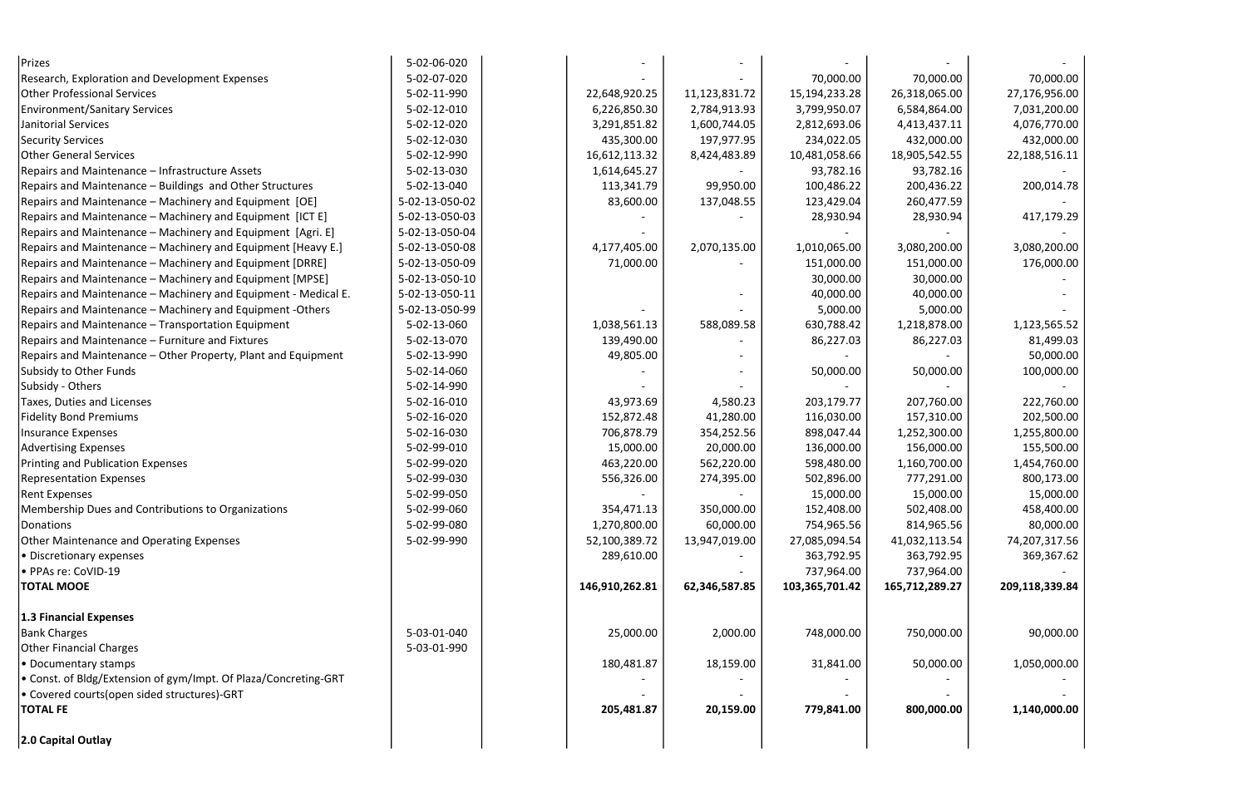| Prizes                                                          | 5-02-06-020    |                |               |                |                |                |
|-----------------------------------------------------------------|----------------|----------------|---------------|----------------|----------------|----------------|
| <b>Research, Exploration and Development Expenses</b>           | 5-02-07-020    |                |               | 70,000.00      | 70,000.00      | 70,000.00      |
| <b>Other Professional Services</b>                              | 5-02-11-990    | 22,648,920.25  | 11,123,831.72 | 15,194,233.28  | 26,318,065.00  | 27,176,956.00  |
| <b>Environment/Sanitary Services</b>                            | 5-02-12-010    | 6,226,850.30   | 2,784,913.93  | 3,799,950.07   | 6,584,864.00   | 7,031,200.00   |
| Janitorial Services                                             | 5-02-12-020    | 3,291,851.82   | 1,600,744.05  | 2,812,693.06   | 4,413,437.11   | 4,076,770.00   |
| <b>Security Services</b>                                        | 5-02-12-030    | 435,300.00     | 197,977.95    | 234,022.05     | 432,000.00     | 432,000.00     |
| <b>Other General Services</b>                                   | 5-02-12-990    | 16,612,113.32  | 8,424,483.89  | 10,481,058.66  | 18,905,542.55  | 22,188,516.11  |
| Repairs and Maintenance - Infrastructure Assets                 | 5-02-13-030    | 1,614,645.27   |               | 93,782.16      | 93,782.16      |                |
| Repairs and Maintenance - Buildings and Other Structures        | 5-02-13-040    | 113,341.79     | 99,950.00     | 100,486.22     | 200,436.22     | 200,014.78     |
| Repairs and Maintenance – Machinery and Equipment [OE]          | 5-02-13-050-02 | 83,600.00      | 137,048.55    | 123,429.04     | 260,477.59     |                |
| Repairs and Maintenance - Machinery and Equipment [ICT E]       | 5-02-13-050-03 |                |               | 28,930.94      | 28,930.94      | 417,179.29     |
| Repairs and Maintenance - Machinery and Equipment [Agri. E]     | 5-02-13-050-04 |                |               |                |                |                |
| Repairs and Maintenance - Machinery and Equipment [Heavy E.]    | 5-02-13-050-08 | 4,177,405.00   | 2,070,135.00  | 1,010,065.00   | 3,080,200.00   | 3,080,200.00   |
| Repairs and Maintenance - Machinery and Equipment [DRRE]        | 5-02-13-050-09 | 71,000.00      |               | 151,000.00     | 151,000.00     | 176,000.00     |
| Repairs and Maintenance - Machinery and Equipment [MPSE]        | 5-02-13-050-10 |                |               | 30,000.00      | 30,000.00      |                |
| Repairs and Maintenance - Machinery and Equipment - Medical E.  | 5-02-13-050-11 |                |               | 40,000.00      | 40,000.00      |                |
| Repairs and Maintenance - Machinery and Equipment - Others      | 5-02-13-050-99 |                |               | 5,000.00       | 5,000.00       |                |
| Repairs and Maintenance - Transportation Equipment              | 5-02-13-060    | 1,038,561.13   | 588,089.58    | 630,788.42     | 1,218,878.00   | 1,123,565.52   |
| Repairs and Maintenance - Furniture and Fixtures                | 5-02-13-070    | 139,490.00     |               | 86,227.03      | 86,227.03      | 81,499.03      |
| Repairs and Maintenance - Other Property, Plant and Equipment   | 5-02-13-990    | 49,805.00      |               |                |                | 50,000.00      |
| Subsidy to Other Funds                                          | 5-02-14-060    |                |               | 50,000.00      | 50,000.00      | 100,000.00     |
| Subsidy - Others                                                | 5-02-14-990    |                |               |                |                |                |
| Taxes, Duties and Licenses                                      | 5-02-16-010    | 43,973.69      | 4,580.23      | 203,179.77     | 207,760.00     | 222,760.00     |
| <b>Fidelity Bond Premiums</b>                                   | 5-02-16-020    | 152,872.48     | 41,280.00     | 116,030.00     | 157,310.00     | 202,500.00     |
| Insurance Expenses                                              | 5-02-16-030    | 706,878.79     | 354,252.56    | 898,047.44     | 1,252,300.00   | 1,255,800.00   |
| <b>Advertising Expenses</b>                                     | 5-02-99-010    | 15,000.00      | 20,000.00     | 136,000.00     | 156,000.00     | 155,500.00     |
| <b>Printing and Publication Expenses</b>                        | 5-02-99-020    | 463,220.00     | 562,220.00    | 598,480.00     | 1,160,700.00   | 1,454,760.00   |
| <b>Representation Expenses</b>                                  | 5-02-99-030    | 556,326.00     | 274,395.00    | 502,896.00     | 777,291.00     | 800,173.00     |
| <b>Rent Expenses</b>                                            | 5-02-99-050    |                |               | 15,000.00      | 15,000.00      | 15,000.00      |
| Membership Dues and Contributions to Organizations              | 5-02-99-060    | 354,471.13     | 350,000.00    | 152,408.00     | 502,408.00     | 458,400.00     |
| Donations                                                       | 5-02-99-080    | 1,270,800.00   | 60,000.00     | 754,965.56     | 814,965.56     | 80,000.00      |
| Other Maintenance and Operating Expenses                        | 5-02-99-990    | 52,100,389.72  | 13,947,019.00 | 27,085,094.54  | 41,032,113.54  | 74,207,317.56  |
| • Discretionary expenses                                        |                | 289,610.00     |               | 363,792.95     | 363,792.95     | 369,367.62     |
| · PPAs re: CoVID-19                                             |                |                |               | 737,964.00     | 737,964.00     |                |
| <b>TOTAL MOOE</b>                                               |                | 146,910,262.81 | 62,346,587.85 | 103,365,701.42 | 165,712,289.27 | 209,118,339.84 |
| 1.3 Financial Expenses                                          |                |                |               |                |                |                |
| <b>Bank Charges</b>                                             | 5-03-01-040    | 25,000.00      | 2,000.00      | 748,000.00     | 750,000.00     | 90,000.00      |
| <b>Other Financial Charges</b>                                  | 5-03-01-990    |                |               |                |                |                |
| • Documentary stamps                                            |                | 180,481.87     | 18,159.00     | 31,841.00      | 50,000.00      | 1,050,000.00   |
| • Const. of Bldg/Extension of gym/Impt. Of Plaza/Concreting-GRT |                |                |               |                |                |                |
| . Covered courts(open sided structures)-GRT                     |                |                |               |                |                |                |
| <b>TOTAL FE</b>                                                 |                | 205,481.87     | 20,159.00     | 779,841.00     | 800,000.00     | 1,140,000.00   |
| 2.0 Capital Outlay                                              |                |                |               |                |                |                |

| 0,000.00' | 70,000.00      |
|-----------|----------------|
| 8,065.00  | 27,176,956.00  |
| 4,864.00; | 7,031,200.00   |
| 3,437.11  | 4,076,770.00   |
| 2,000.00  | 432,000.00     |
| 15,542.55 | 22,188,516.11  |
| 13,782.16 |                |
| 0,436.22  | 200,014.78     |
| 0,477.59  |                |
| 8,930.94  | 417,179.29     |
|           |                |
| 0,200.00  | 3,080,200.00   |
| 1,000.00  | 176,000.00     |
| 0,000.00  |                |
| 0,000.00  |                |
| 5,000.00  |                |
| 8,878.00  | 1,123,565.52   |
| 6,227.03  | 81,499.03      |
|           | 50,000.00      |
| 0,000.00  | 100,000.00     |
|           |                |
| 17,760.00 | 222,760.00     |
| 7,310.00  | 202,500.00     |
| 2,300.00  | 1,255,800.00   |
| 6,000.00  | 155,500.00     |
| 0,700.00  | 1,454,760.00   |
| 7,291.00  | 800,173.00     |
| .5,000.00 | 15,000.00      |
| 2,408.00  | 458,400.00     |
| 4,965.56  | 80,000.00      |
| 2,113.54  | 74,207,317.56  |
| 3,792.95  | 369,367.62     |
| 7,964.00  |                |
| 2,289.27  | 209,118,339.84 |
|           |                |
|           |                |
| 0,000.00  | 90,000.00      |
|           |                |
| 0,000.00  | 1,050,000.00   |
|           |                |
|           |                |
| 0,000.00  | 1,140,000.00   |
|           |                |